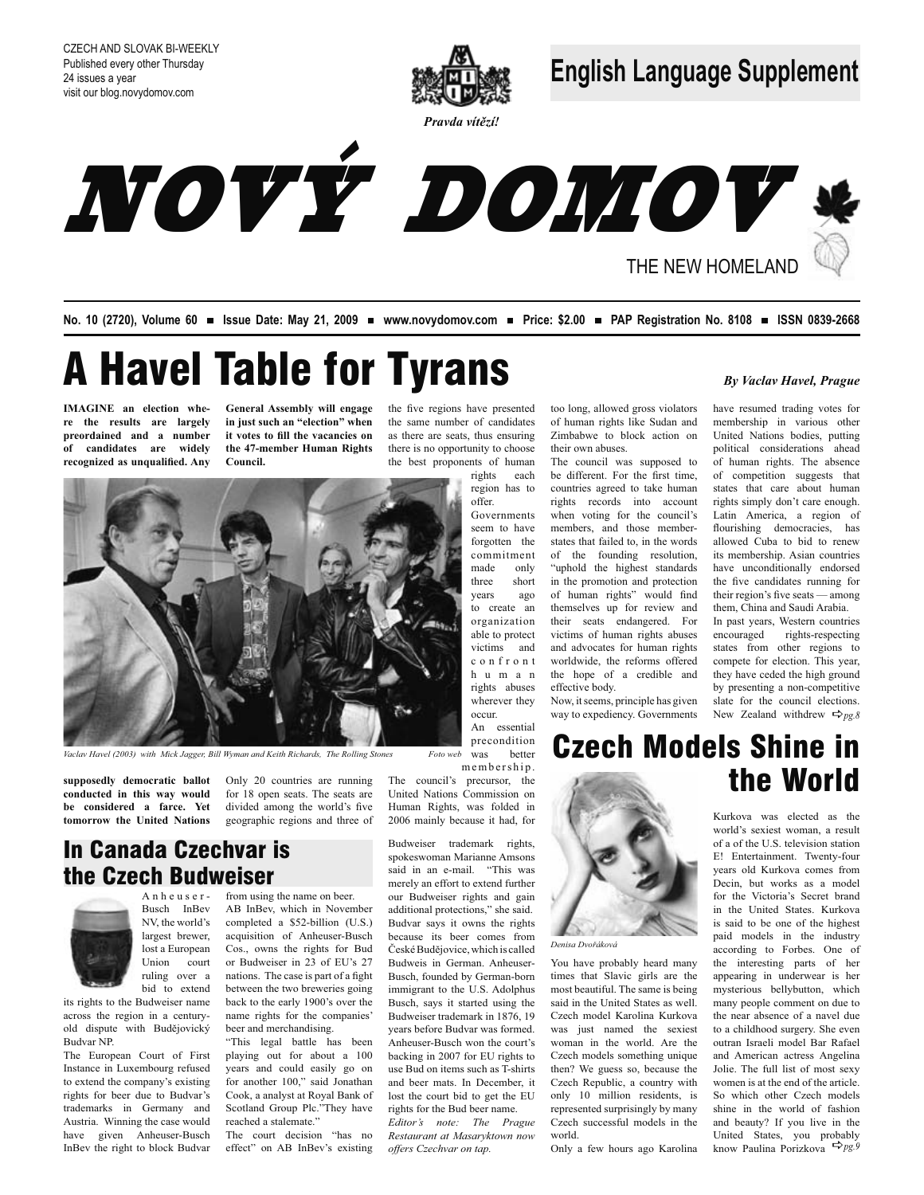

Pravda vítězí!

**English Language Supplement** 



No. 10 (2720), Volume 60 = Issue Date: May 21, 2009 = www.novydomov.com = Price: \$2.00 = PAP Registration No. 8108 = ISSN 0839-2668

# **A Havel Table for Tyrans**

**IMAGINE** an election where the results are largely preordained and a number of candidates are widely recognized as unqualified. Any

General Assembly will engage in just such an "election" when it votes to fill the vacancies on the 47-member Human Rights Council

the five regions have presented the same number of candidates as there are seats, thus ensuring there is no opportunity to choose the best proponents of human rights each

region has to

Governments seem to have

forgotten the

commitment

organization

able to protect

victims and

 $c$ o n f r o n t

h u m a n

rights abuses

wherever they

occur.

only

short

ago to create an

offer.

made

three

vears



Vaclay Havel (2003) with Mick Jagger, Bill Wyman and Keith Richards. The Rolling Stones

supposedly democratic ballot conducted in this way would be considered a farce. Yet tomorrow the United Nations

Only 20 countries are running for 18 open seats. The seats are divided among the world's five geographic regions and three of

precondition Foto web was better membership. The council's precursor, the United Nations Commission on

Human Rights, was folded in 2006 mainly because it had, for

Budweiser trademark rights, spokeswoman Marianne Amsons said in an e-mail. "This was merely an effort to extend further our Budweiser rights and gain additional protections." she said. Budvar says it owns the rights because its beer comes from České Budějovice, which is called Budweis in German. Anheuser-Busch, founded by German-born immigrant to the U.S. Adolphus Busch, says it started using the Budweiser trademark in 1876, 19 vears before Budvar was formed. Anheuser-Busch won the court's backing in 2007 for EU rights to use Bud on items such as T-shirts and beer mats. In December, it lost the court bid to get the EU rights for the Bud beer name Editor's note: The Prague Restaurant at Masaryktown now

offers Czechvar on tap.

world.

Denisa Dvořáková

#### By Vaclav Havel, Prague

too long, allowed gross violators have resumed trading votes for of human rights like Sudan and membership in various other Zimbabwe to block action on United Nations bodies, putting their own abuses. political considerations ahead The council was supposed to of human rights. The absence be different. For the first time, of competition suggests that countries agreed to take human states that care about human rights records into account

rights simply don't care enough. when voting for the council's Latin America, a region of members, and those memberflourishing democracies, has states that failed to, in the words allowed Cuba to bid to renew of the founding resolution, its membership. Asian countries "uphold the highest standards have unconditionally endorsed in the promotion and protection the five candidates running for of human rights" would find their region's five seats — among themselves up for review and them, China and Saudi Arabia. their seats endangered. For In past years, Western countries victims of human rights abuses encouraged rights-respecting and advocates for human rights states from other regions to

worldwide, the reforms offered

the hope of a credible and

Now, it seems, principle has given

way to expediency. Governments

effective body.

compete for election. This year, they have ceded the high ground by presenting a non-competitive slate for the council elections. New Zealand withdrew  $\Rightarrow_{p\varphi, \vartheta}$ 

## **Czech Models Shine in** the World

Kurkova was elected as the world's sexiest woman a result of a of the U.S. television station E! Entertainment. Twenty-four vears old Kurkova comes from Decin, but works as a model for the Victoria's Secret brand in the United States Kurkova is said to be one of the highest paid models in the industry according to Forbes. One of the interesting parts of her appearing in underwear is her mysterious bellybutton, which many people comment on due to the near absence of a navel due to a childhood surgery. She even outran Israeli model Bar Rafael and American actress Angelina Jolie The full list of most sexy women is at the end of the article. So which other Czech models shine in the world of fashion and beauty? If you live in the United States, you probably know Paulina Porizkova  $\Rightarrow$ pg.9

### In Canada Czechvar is the Czech Budweiser



its rights to the Budweiser name across the region in a centuryold dispute with Budějovický **Budvar NP** 

The European Court of First Instance in Luxembourg refused to extend the company's existing rights for beer due to Budvar's trademarks in Germany and Austria. Winning the case would have given Anheuser-Busch InBev the right to block Budvar

from using the name on beer. Anheuser-

AB InBev, which in November completed a \$52-billion (U.S.) acquisition of Anheuser-Busch Cos., owns the rights for Bud or Budweiser in 23 of EU's 27 nations. The case is part of a fight between the two breweries going back to the early 1900's over the name rights for the companies' beer and merchandising.

"This legal battle has been playing out for about a 100 years and could easily go on for another 100," said Jonathan Cook, a analyst at Royal Bank of Scotland Group Plc."They have reached a stalemate"

The court decision "has no effect" on AB InBev's existing

An essential

Only a few hours ago Karolina

You have probably heard many

times that Slavic girls are the

most beautiful. The same is being

said in the United States as well.

Czech model Karolina Kurkova

was just named the sexiest

woman in the world. Are the

Czech models something unique

then? We guess so, because the

Czech Republic, a country with

only 10 million residents, is

represented surprisingly by many

Czech successful models in the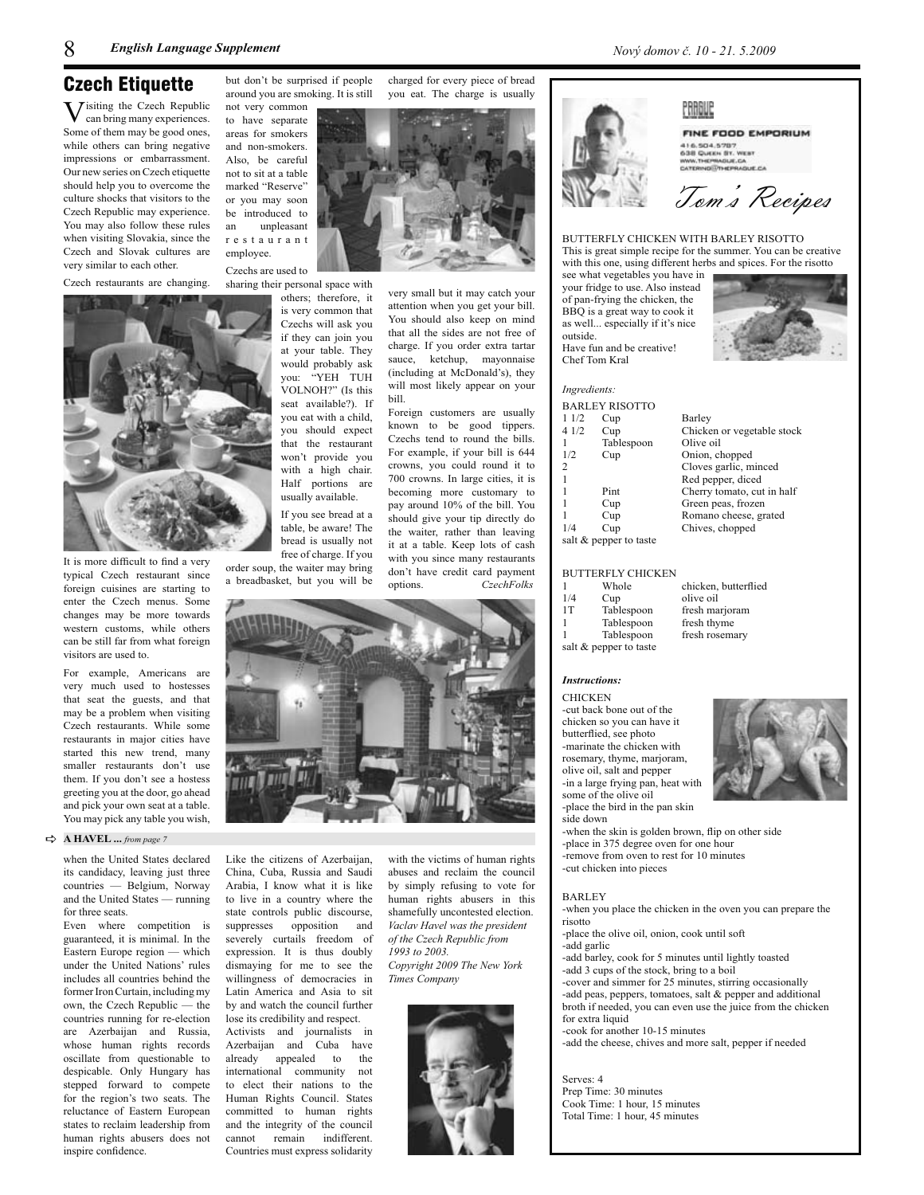### Czech Etiauette

 $\overline{\mathbf{V}}$  isiting the Czech Republic can bring many experiences. Some of them may be good ones, while others can bring negative impressions or embarrassment. Our new series on Czech etiquette should help you to overcome the culture shocks that visitors to the Czech Republic may experience. You may also follow these rules when visiting Slovakia, since the Czech and Slovak cultures are very similar to each other.

Czech restaurants are changing.



It is more difficult to find a very typical Czech restaurant since foreign cuisines are starting to enter the Czech menus. Some changes may be more towards western customs, while others can be still far from what foreign visitors are used to

For example, Americans are very much used to hostesses that seat the guests, and that may be a problem when visiting Czech restaurants. While some restaurants in major cities have started this new trend, many smaller restaurants don't use them. If you don't see a hostess greeting you at the door, go ahead and pick your own seat at a table. You may pick any table you wish,

#### $\Rightarrow$  A HAVEL ... from page 7

when the United States declared its candidacy, leaving just three countries - Belgium, Norway and the United States — running for three seats.

Even where competition is guaranteed, it is minimal. In the Eastern Europe region - which under the United Nations' rules includes all countries behind the former Iron Curtain, including my own, the Czech Republic — the countries running for re-election are Azerbaijan and Russia, whose human rights records oscillate from questionable to despicable. Only Hungary has stepped forward to compete for the region's two seats. The reluctance of Eastern European states to reclaim leadership from human rights abusers does not inspire confidence.

but don't be surprised if people charged for every piece of bread around you are smoking. It is still you eat. The charge is usually not very common to have separate

areas for smokers and non-smokers. Also, be careful not to sit at a table marked "Reserve" or you may soon be introduced to unpleasant an restaurant employee.

Czechs are used to sharing their personal space with

others; therefore, it is very common that Czechs will ask you if they can join you at your table. They would probably ask you: "YEH TUH .<br>VOLNOH?" (Is this seat available?). If you eat with a child, you should expect that the restaurant won't provide you with a high chair. Half portions are usually available. If you see bread at a table, be aware! The

bread is usually not free of charge. If you order soup, the waiter may bring

a breadbasket, but you will be



Like the citizens of Azerbaijan, China, Cuba, Russia and Saudi Arabia I know what it is like to live in a country where the state controls public discourse, suppresses opposition and severely curtails freedom of expression. It is thus doubly dismaying for me to see the willingness of democracies in Latin America and Asia to sit by and watch the council further lose its credibility and respect. Activists and journalists in Azerbaijan and Cuba have already appealed to the international community not to elect their nations to the Human Rights Council. States

committed to human rights

and the integrity of the council

cannot remain indifferent.

Countries must express solidarity

abuses and reclaim the council by simply refusing to vote for human rights abusers in this shamefully uncontested election. Vaclav Havel was the president of the Czech Republic from 1993 to 2003. Copyright 2009 The New York Times Company

with the victims of human rights

very small but it may catch your

attention when you get your bill.

You should also keep on mind

that all the sides are not free of

charge. If you order extra tartar

sauce, ketchup, mayonnaise

(including at McDonald's), they

will most likely appear on your

Foreign customers are usually

known to be good tippers.

Czechs tend to round the bills.

For example, if your bill is 644

crowns, you could round it to

700 crowns. In large cities, it is

becoming more customary to

pay around 10% of the bill. You

should give your tip directly do

the waiter, rather than leaving

it at a table. Keep lots of cash

with you since many restaurants

don't have credit card payment

CzechFolks

bill

options.



PRAGUE



#### **FINE FOOD EMPORIUM** 416.504.5787 638 QUEEN ST. WEST WWW.THEPRAGUE.CA<br>CATERING@THEPRAGUE.CA

Tom's Recipes

BUTTERFLY CHICKEN WITH BARLEY RISOTTO This is great simple recipe for the summer. You can be creative with this one, using different herbs and spices. For the risotto

see what vegetables you have in your fridge to use. Also instead of pan-frying the chicken, the BBO is a great way to cook it as well... especially if it's nice outside.

Have fun and be creative! Chef Tom Kral

#### Ingredients:

|                        | <b>BARLEY RISOTTO</b> |                  |  |
|------------------------|-----------------------|------------------|--|
| 11/2                   | Cup                   | Barley           |  |
| 4 1/2                  | Cup                   | Chicken or vego  |  |
|                        | Tablespoon            | Olive oil        |  |
| 1/2                    | Cup                   | Onion, chopped   |  |
| 2                      |                       | Cloves garlic, n |  |
| $\mathbf{1}$           |                       | Red pepper, dic  |  |
| 1                      | Pint                  | Cherry tomato,   |  |
| 1                      | Cup                   | Green peas, fro: |  |
| 1                      | Cup                   | Romano cheese    |  |
| 1/4                    | Cup                   | Chives, choppe   |  |
| salt & pepper to taste |                       |                  |  |

#### **BUTTERFLY CHICKEN**

|     | Whole                  | chicken, butterf |
|-----|------------------------|------------------|
| 1/4 | Cup                    | olive oil        |
| 1T  | Tablespoon             | fresh marjoram   |
|     | Tablespoon             | fresh thyme      |
|     | Tablespoon             | fresh rosemary   |
|     | salt & pepper to taste |                  |

#### **Instructions:**

**CHICKEN** -cut back bone out of the chicken so you can have it butterflied, see photo -marinate the chicken with rosemary, thyme, marioram. olive oil, salt and pepper -in a large frying pan, heat with some of the olive oil -place the bird in the pan skin side down



-when the skin is golden brown, flip on other side -place in 375 degree oven for one hour -remove from oven to rest for 10 minutes -cut chicken into pieces

#### **BARLEY**

-when you place the chicken in the oven you can prepare the risotto

- -place the olive oil, onion, cook until soft
- -add garlic

-add barley, cook for 5 minutes until lightly toasted -add 3 cups of the stock, bring to a boil -cover and simmer for 25 minutes, stirring occasionally -add peas, peppers, tomatoes, salt & pepper and additional

broth if needed, you can even use the juice from the chicken for extra liquid -cook for another 10-15 minutes

-add the cheese, chives and more salt, pepper if needed

Serves: 4 Prep Time: 30 minutes Cook Time: 1 hour, 15 minutes Total Time: 1 hour, 45 minutes

etable stock ninced

ed cut in half zen , grated

lied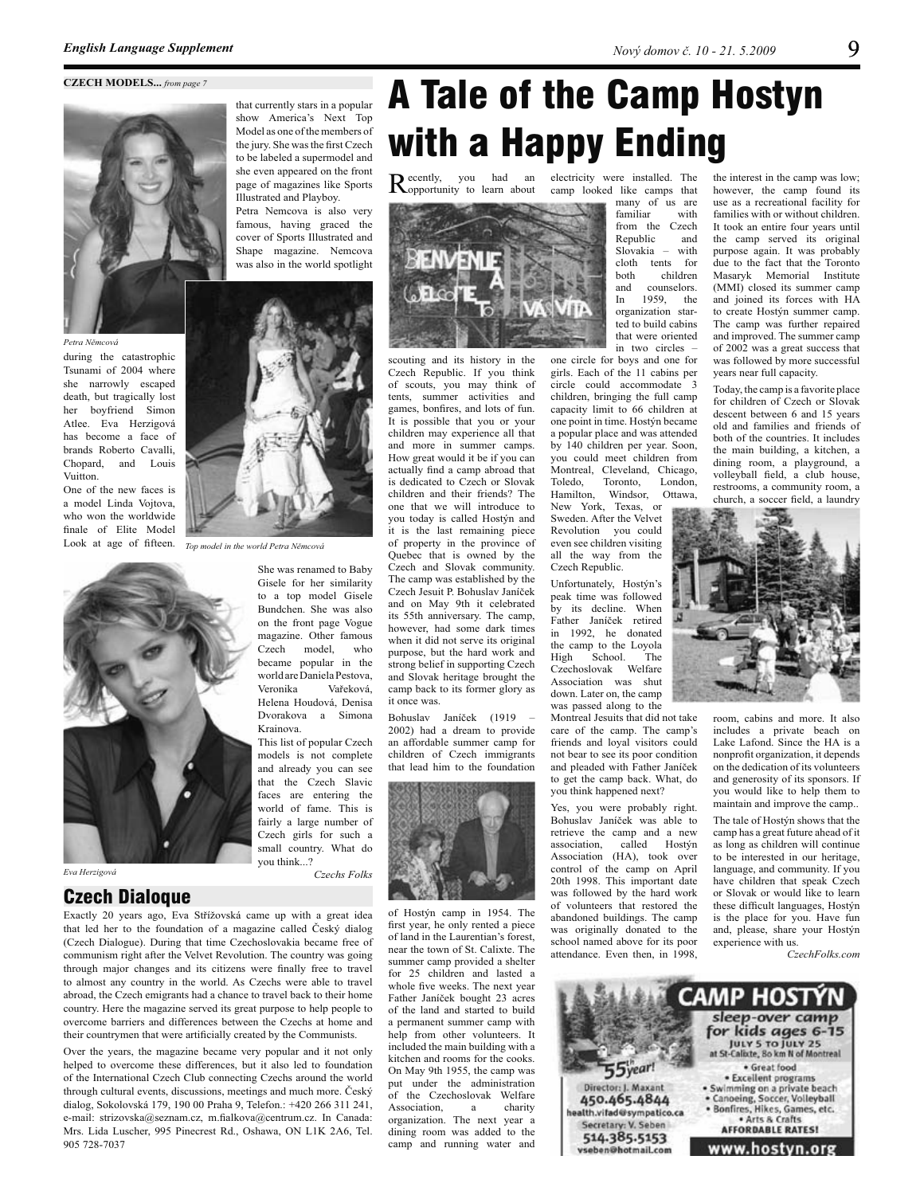

Petra Němcová

during the catastrophic Tsunami of 2004 where she narrowly escaped death, but tragically lost her boyfriend Simon Atlee. Eva Herzigová has become a face of brands Roberto Cavalli, Chonard, and Louis Vuitton

One of the new faces is a model Linda Voitova. who won the worldwide finale of Elite Model Look at age of fifteen.



Eva Herzigová

#### **Czech Dialogue**

Exactly 20 years ago, Eva Střížovská came up with a great idea that led her to the foundation of a magazine called Český dialog (Czech Dialogue). During that time Czechoslovakia became free of communism right after the Velvet Revolution. The country was going through major changes and its citizens were finally free to travel to almost any country in the world. As Czechs were able to travel abroad, the Czech emigrants had a chance to travel back to their home country. Here the magazine served its great purpose to help people to overcome barriers and differences between the Czechs at home and their countrymen that were artificially created by the Communists.

Over the years, the magazine became very popular and it not only helped to overcome these differences, but it also led to foundation of the International Czech Club connecting Czechs around the world through cultural events, discussions, meetings and much more. Český dialog, Sokolovská 179, 190 00 Praha 9, Telefon.: +420 266 311 241, e-mail: strizovska@seznam.cz, m.fialkova@centrum.cz. In Canada: Mrs. Lida Luscher, 995 Pinecrest Rd., Oshawa, ON L1K 2A6, Tel. 905 728-7037

## **A Tale of the Camp Hostyn** with a Happy Ending

Recently, you had an Apportunity to learn about



scouting and its history in the Czech Republic. If you think of scouts, you may think of tents, summer activities and games, bonfires, and lots of fun. It is possible that you or your children may experience all that and more in summer camps. How great would it be if you can actually find a camp abroad that is dedicated to Czech or Slovak children and their friends? The one that we will introduce to you today is called Hostýn and it is the last remaining piece of property in the province of Ouebec that is owned by the Czech and Slovak community. The camp was established by the Czech Jesuit P. Bohuslav Janíček and on May 9th it celebrated its 55th anniversary. The camp, however had some dark times when it did not serve its original purpose, but the hard work and strong belief in supporting Czech and Slovak heritage brought the camp back to its former glory as it once was.

Bohuslav Janíček (1919 – 2002) had a dream to provide an affordable summer camp for children of Czech immigrants that lead him to the foundation



of Hostýn camp in 1954. The first year, he only rented a piece of land in the Laurentian's forest, near the town of St. Calixte. The summer camp provided a shelter for 25 children and lasted a whole five weeks. The next year Father Janíček bought 23 acres of the land and started to build a permanent summer camp with help from other volunteers It included the main building with a kitchen and rooms for the cooks. On May 9th 1955, the camp was put under the administration of the Czechoslovak Welfare Association,  $\mathbf{a}$ charity organization. The next year a dining room was added to the camp and running water and

an electricity were installed. The camp looked like camps that many of us are familiar with from the Czech Republic and Slovakia  $\quad$ cloth tents for children both and counselors 1959, the In organization started to build cabins that were oriented in two circles -

> one circle for boys and one for girls. Each of the 11 cabins per circle could accommodate 3 children, bringing the full camp capacity limit to 66 children at one point in time. Hostýn became a popular place and was attended by 140 children per year. Soon, you could meet children from Montreal, Cleveland, Chicago, Toledo. Toronto. London. Hamilton, Windsor, Ottawa,

New York, Texas, or Sweden. After the Velvet Revolution you could even see children visiting all the way from the Czech Republic.

Unfortunately, Hostýn's peak time was followed by its decline. When Father Janíček retired in 1992, he donated the camp to the Loyola High School. The Czechoslovak Welfare Association was shut down. Later on, the camp was passed along to the

Montreal Jesuits that did not take care of the camp. The camp's friends and loval visitors could not bear to see its poor condition and pleaded with Father Janíček to get the camp back. What, do you think happened next?

Yes, you were probably right. Bohuslav Janíček was able to retrieve the camp and a new association, called Hostýn Association (HA), took over control of the camp on April 20th 1998. This important date was followed by the hard work of volunteers that restored the abandoned buildings. The camp was originally donated to the school named above for its poor attendance Even then in 1998

the interest in the camp was low; however, the camp found its use as a recreational facility for families with or without children. It took an entire four years until the camp served its original purpose again. It was probably due to the fact that the Toronto Masaryk Memorial Institute (MMI) closed its summer camp and joined its forces with HA to create Hostýn summer camp. The camp was further repaired and improved. The summer camp of 2002 was a great success that was followed by more successful years near full capacity.

Today, the camp is a favorite place for children of Czech or Slovak descent between 6 and 15 years old and families and friends of both of the countries. It includes the main building, a kitchen, a dining room, a playground, a volleyball field, a club house, restrooms, a community room, a church, a soccer field, a laundry



room, cabins and more. It also includes a private beach on Lake Lafond. Since the HA is a nonprofit organization, it depends on the dedication of its volunteers and generosity of its sponsors. If you would like to help them to maintain and improve the camp...

The tale of Hostýn shows that the camp has a great future ahead of it as long as children will continue to be interested in our heritage, language, and community. If you have children that speak Czech or Slovak or would like to learn these difficult languages, Hostýn is the place for you. Have fun and, please, share your Hostýn experience with us.

CzechFolks.com





Top model in the world Petra Němcová

She was renamed to Baby Gisele for her similarity to a top model Gisele Bundchen. She was also on the front page Vogue magazine. Other famous Czech model, who became popular in the world are Daniela Pestova. Veronika Vařeková. Helena Houdová, Denisa Dvorakova a Simona Krainova.

This list of popular Czech models is not complete and already you can see that the Czech Slavic faces are entering the world of fame. This is fairly a large number of Czech girls for such a small country. What do vou think...?

Czechs Folks